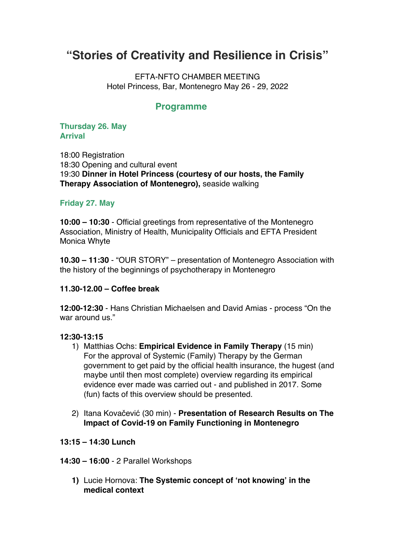# **"Stories of Creativity and Resilience in Crisis"**

EFTA-NFTO CHAMBER MEETING Hotel Princess, Bar, Montenegro May 26 - 29, 2022

# **Programme**

# **Thursday 26. May Arrival**

18:00 Registration 18:30 Opening and cultural event 19:30 **Dinner in Hotel Princess (courtesy of our hosts, the Family Therapy Association of Montenegro),** seaside walking

# **Friday 27. May**

**10:00 – 10:30** - Official greetings from representative of the Montenegro Association, Ministry of Health, Municipality Officials and EFTA President Monica Whyte

**10.30 – 11:30** - "OUR STORY" – presentation of Montenegro Association with the history of the beginnings of psychotherapy in Montenegro

# **11.30-12.00 – Coffee break**

**12:00-12:30** - Hans Christian Michaelsen and David Amias - process "On the war around us."

# **12:30-13:15**

- 1) Matthias Ochs: **Empirical Evidence in Family Therapy** (15 min) For the approval of Systemic (Family) Therapy by the German government to get paid by the official health insurance, the hugest (and maybe until then most complete) overview regarding its empirical evidence ever made was carried out - and published in 2017. Some (fun) facts of this overview should be presented.
- 2) Itana Kovačević (30 min) **Presentation of Research Results on The Impact of Covid-19 on Family Functioning in Montenegro**

# **13:15 – 14:30 Lunch**

- **14:30 – 16:00** 2 Parallel Workshops
	- **1)** Lucie Hornova: **The Systemic concept of 'not knowing' in the medical context**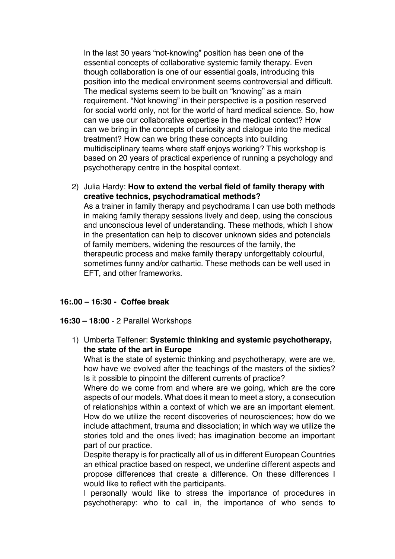In the last 30 years "not-knowing" position has been one of the essential concepts of collaborative systemic family therapy. Even though collaboration is one of our essential goals, introducing this position into the medical environment seems controversial and difficult. The medical systems seem to be built on "knowing" as a main requirement. "Not knowing" in their perspective is a position reserved for social world only, not for the world of hard medical science. So, how can we use our collaborative expertise in the medical context? How can we bring in the concepts of curiosity and dialogue into the medical treatment? How can we bring these concepts into building multidisciplinary teams where staff enjoys working? This workshop is based on 20 years of practical experience of running a psychology and psychotherapy centre in the hospital context.

2) Julia Hardy: **How to extend the verbal field of family therapy with creative technics, psychodramatical methods?** As a trainer in family therapy and psychodrama I can use both methods in making family therapy sessions lively and deep, using the conscious and unconscious level of understanding. These methods, which I show in the presentation can help to discover unknown sides and potencials of family members, widening the resources of the family, the therapeutic process and make family therapy unforgettably colourful, sometimes funny and/or cathartic. These methods can be well used in EFT, and other frameworks.

# **16:.00 – 16:30 - Coffee break**

#### **16:30 – 18:00** - 2 Parallel Workshops

1) Umberta Telfener: **Systemic thinking and systemic psychotherapy, the state of the art in Europe**

What is the state of systemic thinking and psychotherapy, were are we, how have we evolved after the teachings of the masters of the sixties? Is it possible to pinpoint the different currents of practice?

Where do we come from and where are we going, which are the core aspects of our models. What does it mean to meet a story, a consecution of relationships within a context of which we are an important element. How do we utilize the recent discoveries of neurosciences; how do we include attachment, trauma and dissociation; in which way we utilize the stories told and the ones lived; has imagination become an important part of our practice.

Despite therapy is for practically all of us in different European Countries an ethical practice based on respect, we underline different aspects and propose differences that create a difference. On these differences I would like to reflect with the participants.

I personally would like to stress the importance of procedures in psychotherapy: who to call in, the importance of who sends to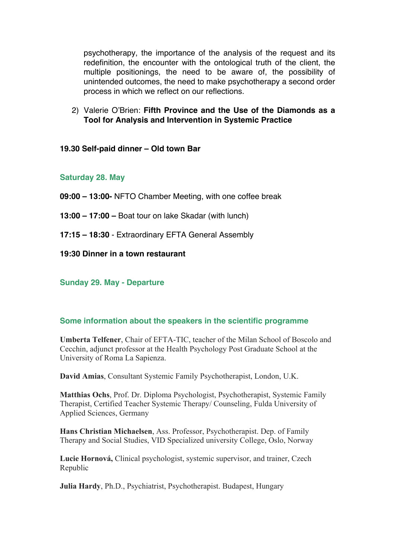psychotherapy, the importance of the analysis of the request and its redefinition, the encounter with the ontological truth of the client, the multiple positionings, the need to be aware of, the possibility of unintended outcomes, the need to make psychotherapy a second order process in which we reflect on our reflections.

2) Valerie O'Brien: **Fifth Province and the Use of the Diamonds as a Tool for Analysis and Intervention in Systemic Practice**

**19.30 Self-paid dinner – Old town Bar**

### **Saturday 28. May**

**09:00 – 13:00-** NFTO Chamber Meeting, with one coffee break

- **13:00 – 17:00 –** Boat tour on lake Skadar (with lunch)
- **17:15 – 18:30** Extraordinary EFTA General Assembly

**19:30 Dinner in a town restaurant**

#### **Sunday 29. May - Departure**

# **Some information about the speakers in the scientific programme**

**Umberta Telfener**, Chair of EFTA-TIC, teacher of the Milan School of Boscolo and Cecchin, adjunct professor at the Health Psychology Post Graduate School at the University of Roma La Sapienza.

**David Amias**, Consultant Systemic Family Psychotherapist, London, U.K.

**Matthias Ochs**, Prof. Dr. Diploma Psychologist, Psychotherapist, Systemic Family Therapist, Certified Teacher Systemic Therapy/ Counseling, Fulda University of Applied Sciences, Germany

**Hans Christian Michaelsen**, Ass. Professor, Psychotherapist. Dep. of Family Therapy and Social Studies, VID Specialized university College, Oslo, Norway

**Lucie Hornová,** Clinical psychologist, systemic supervisor, and trainer, Czech Republic

**Julia Hardy**, Ph.D., Psychiatrist, Psychotherapist. Budapest, Hungary